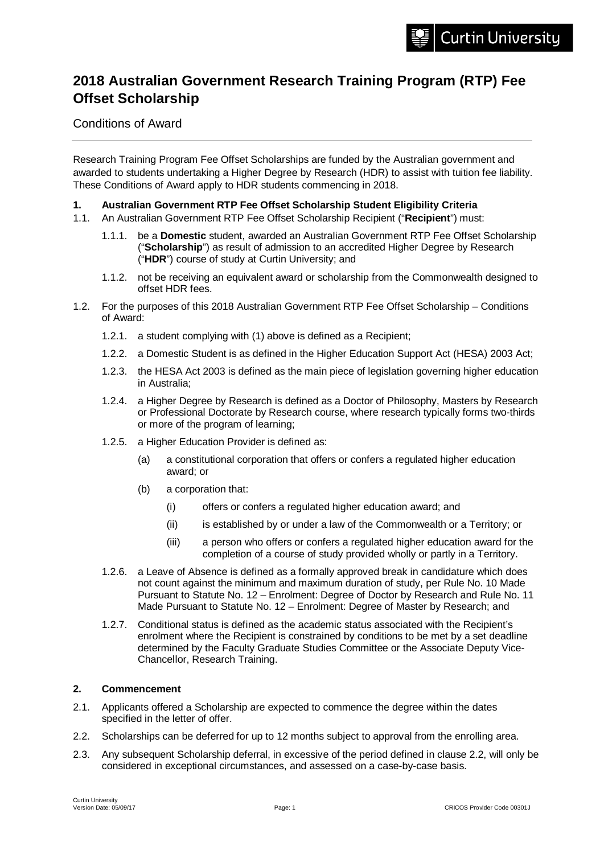# **2018 Australian Government Research Training Program (RTP) Fee Offset Scholarship**

Conditions of Award

Research Training Program Fee Offset Scholarships are funded by the Australian government and awarded to students undertaking a Higher Degree by Research (HDR) to assist with tuition fee liability. These Conditions of Award apply to HDR students commencing in 2018.

# **1. Australian Government RTP Fee Offset Scholarship Student Eligibility Criteria**

- 1.1. An Australian Government RTP Fee Offset Scholarship Recipient ("**Recipient**") must:
	- 1.1.1. be a **Domestic** student, awarded an Australian Government RTP Fee Offset Scholarship ("**Scholarship**") as result of admission to an accredited Higher Degree by Research ("**HDR**") course of study at Curtin University; and
	- 1.1.2. not be receiving an equivalent award or scholarship from the Commonwealth designed to offset HDR fees.
- 1.2. For the purposes of this 2018 Australian Government RTP Fee Offset Scholarship Conditions of Award:
	- 1.2.1. a student complying with (1) above is defined as a Recipient;
	- 1.2.2. a Domestic Student is as defined in the Higher Education Support Act (HESA) 2003 Act;
	- 1.2.3. the HESA Act 2003 is defined as the main piece of legislation governing higher education in Australia;
	- 1.2.4. a Higher Degree by Research is defined as a Doctor of Philosophy, Masters by Research or Professional Doctorate by Research course, where research typically forms two-thirds or more of the program of learning;
	- 1.2.5. a Higher Education Provider is defined as:
		- (a) a constitutional corporation that offers or confers a regulated higher education award; or
		- (b) a corporation that:
			- (i) offers or confers a regulated higher education award; and
			- (ii) is established by or under a law of the Commonwealth or a Territory; or
			- (iii) a person who offers or confers a regulated higher education award for the completion of a course of study provided wholly or partly in a Territory.
	- 1.2.6. a Leave of Absence is defined as a formally approved break in candidature which does not count against the minimum and maximum duration of study, per Rule No. 10 Made Pursuant to Statute No. 12 – Enrolment: Degree of Doctor by Research and Rule No. 11 Made Pursuant to Statute No. 12 – Enrolment: Degree of Master by Research; and
	- 1.2.7. Conditional status is defined as the academic status associated with the Recipient's enrolment where the Recipient is constrained by conditions to be met by a set deadline determined by the Faculty Graduate Studies Committee or the Associate Deputy Vice-Chancellor, Research Training.

# **2. Commencement**

- 2.1. Applicants offered a Scholarship are expected to commence the degree within the dates specified in the letter of offer.
- 2.2. Scholarships can be deferred for up to 12 months subject to approval from the enrolling area.
- 2.3. Any subsequent Scholarship deferral, in excessive of the period defined in clause 2.2, will only be considered in exceptional circumstances, and assessed on a case-by-case basis.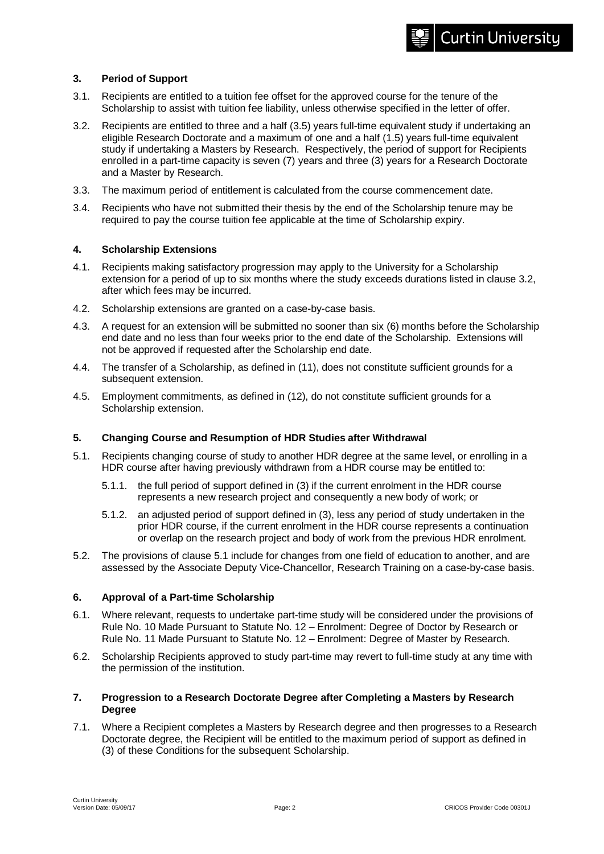# **3. Period of Support**

- 3.1. Recipients are entitled to a tuition fee offset for the approved course for the tenure of the Scholarship to assist with tuition fee liability, unless otherwise specified in the letter of offer.
- 3.2. Recipients are entitled to three and a half (3.5) years full-time equivalent study if undertaking an eligible Research Doctorate and a maximum of one and a half (1.5) years full-time equivalent study if undertaking a Masters by Research. Respectively, the period of support for Recipients enrolled in a part-time capacity is seven (7) years and three (3) years for a Research Doctorate and a Master by Research.
- 3.3. The maximum period of entitlement is calculated from the course commencement date.
- 3.4. Recipients who have not submitted their thesis by the end of the Scholarship tenure may be required to pay the course tuition fee applicable at the time of Scholarship expiry.

# **4. Scholarship Extensions**

- 4.1. Recipients making satisfactory progression may apply to the University for a Scholarship extension for a period of up to six months where the study exceeds durations listed in clause 3.2, after which fees may be incurred.
- 4.2. Scholarship extensions are granted on a case-by-case basis.
- 4.3. A request for an extension will be submitted no sooner than six (6) months before the Scholarship end date and no less than four weeks prior to the end date of the Scholarship. Extensions will not be approved if requested after the Scholarship end date.
- 4.4. The transfer of a Scholarship, as defined in (11), does not constitute sufficient grounds for a subsequent extension.
- 4.5. Employment commitments, as defined in (12), do not constitute sufficient grounds for a Scholarship extension.

# **5. Changing Course and Resumption of HDR Studies after Withdrawal**

- 5.1. Recipients changing course of study to another HDR degree at the same level, or enrolling in a HDR course after having previously withdrawn from a HDR course may be entitled to:
	- 5.1.1. the full period of support defined in (3) if the current enrolment in the HDR course represents a new research project and consequently a new body of work; or
	- 5.1.2. an adjusted period of support defined in (3), less any period of study undertaken in the prior HDR course, if the current enrolment in the HDR course represents a continuation or overlap on the research project and body of work from the previous HDR enrolment.
- 5.2. The provisions of clause 5.1 include for changes from one field of education to another, and are assessed by the Associate Deputy Vice-Chancellor, Research Training on a case-by-case basis.

# **6. Approval of a Part-time Scholarship**

- 6.1. Where relevant, requests to undertake part-time study will be considered under the provisions of Rule No. 10 Made Pursuant to Statute No. 12 – Enrolment: Degree of Doctor by Research or Rule No. 11 Made Pursuant to Statute No. 12 – Enrolment: Degree of Master by Research.
- 6.2. Scholarship Recipients approved to study part-time may revert to full-time study at any time with the permission of the institution.

# **7. Progression to a Research Doctorate Degree after Completing a Masters by Research Degree**

7.1. Where a Recipient completes a Masters by Research degree and then progresses to a Research Doctorate degree, the Recipient will be entitled to the maximum period of support as defined in (3) of these Conditions for the subsequent Scholarship.

**Curtin University**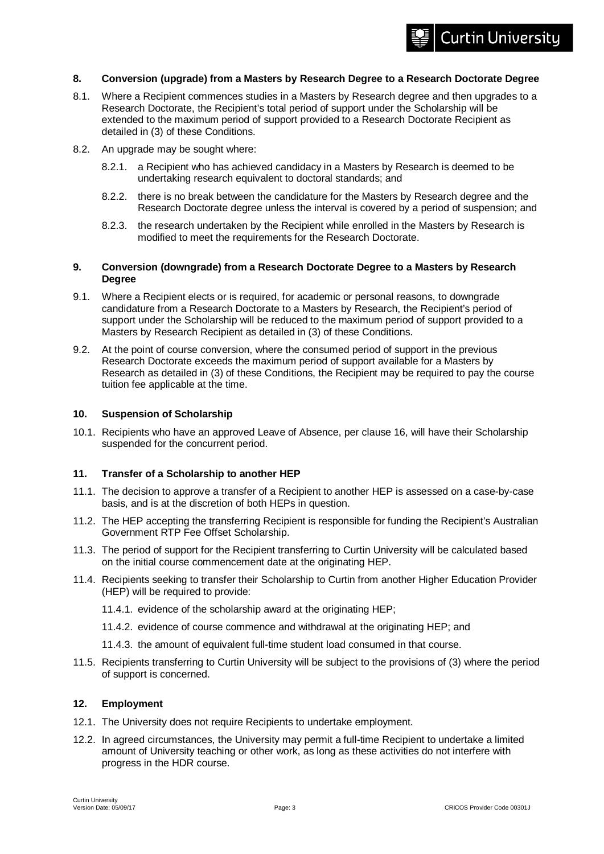# **Curtin University**

#### **8. Conversion (upgrade) from a Masters by Research Degree to a Research Doctorate Degree**

- 8.1. Where a Recipient commences studies in a Masters by Research degree and then upgrades to a Research Doctorate, the Recipient's total period of support under the Scholarship will be extended to the maximum period of support provided to a Research Doctorate Recipient as detailed in (3) of these Conditions.
- 8.2. An upgrade may be sought where:
	- 8.2.1. a Recipient who has achieved candidacy in a Masters by Research is deemed to be undertaking research equivalent to doctoral standards; and
	- 8.2.2. there is no break between the candidature for the Masters by Research degree and the Research Doctorate degree unless the interval is covered by a period of suspension; and
	- 8.2.3. the research undertaken by the Recipient while enrolled in the Masters by Research is modified to meet the requirements for the Research Doctorate.

#### **9. Conversion (downgrade) from a Research Doctorate Degree to a Masters by Research Degree**

- 9.1. Where a Recipient elects or is required, for academic or personal reasons, to downgrade candidature from a Research Doctorate to a Masters by Research, the Recipient's period of support under the Scholarship will be reduced to the maximum period of support provided to a Masters by Research Recipient as detailed in (3) of these Conditions.
- 9.2. At the point of course conversion, where the consumed period of support in the previous Research Doctorate exceeds the maximum period of support available for a Masters by Research as detailed in (3) of these Conditions, the Recipient may be required to pay the course tuition fee applicable at the time.

#### **10. Suspension of Scholarship**

10.1. Recipients who have an approved Leave of Absence, per clause 16, will have their Scholarship suspended for the concurrent period.

# **11. Transfer of a Scholarship to another HEP**

- 11.1. The decision to approve a transfer of a Recipient to another HEP is assessed on a case-by-case basis, and is at the discretion of both HEPs in question.
- 11.2. The HEP accepting the transferring Recipient is responsible for funding the Recipient's Australian Government RTP Fee Offset Scholarship.
- 11.3. The period of support for the Recipient transferring to Curtin University will be calculated based on the initial course commencement date at the originating HEP.
- 11.4. Recipients seeking to transfer their Scholarship to Curtin from another Higher Education Provider (HEP) will be required to provide:
	- 11.4.1. evidence of the scholarship award at the originating HEP;
	- 11.4.2. evidence of course commence and withdrawal at the originating HEP; and
	- 11.4.3. the amount of equivalent full-time student load consumed in that course.
- 11.5. Recipients transferring to Curtin University will be subject to the provisions of (3) where the period of support is concerned.

#### **12. Employment**

- 12.1. The University does not require Recipients to undertake employment.
- 12.2. In agreed circumstances, the University may permit a full-time Recipient to undertake a limited amount of University teaching or other work, as long as these activities do not interfere with progress in the HDR course.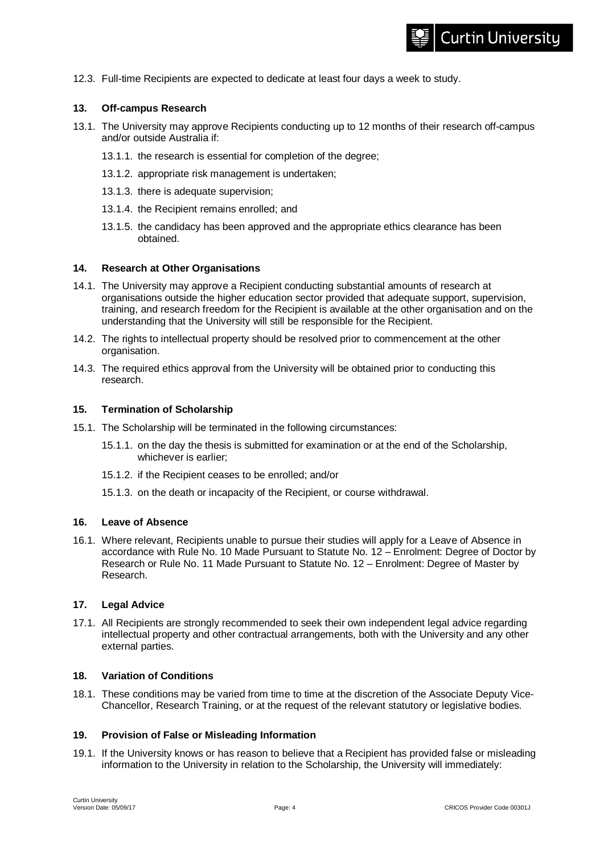12.3. Full-time Recipients are expected to dedicate at least four days a week to study.

# **13. Off-campus Research**

- 13.1. The University may approve Recipients conducting up to 12 months of their research off-campus and/or outside Australia if:
	- 13.1.1. the research is essential for completion of the degree;
	- 13.1.2. appropriate risk management is undertaken;
	- 13.1.3. there is adequate supervision;
	- 13.1.4. the Recipient remains enrolled; and
	- 13.1.5. the candidacy has been approved and the appropriate ethics clearance has been obtained.

#### **14. Research at Other Organisations**

- 14.1. The University may approve a Recipient conducting substantial amounts of research at organisations outside the higher education sector provided that adequate support, supervision, training, and research freedom for the Recipient is available at the other organisation and on the understanding that the University will still be responsible for the Recipient.
- 14.2. The rights to intellectual property should be resolved prior to commencement at the other organisation.
- 14.3. The required ethics approval from the University will be obtained prior to conducting this research.

#### **15. Termination of Scholarship**

- 15.1. The Scholarship will be terminated in the following circumstances:
	- 15.1.1. on the day the thesis is submitted for examination or at the end of the Scholarship, whichever is earlier;
	- 15.1.2. if the Recipient ceases to be enrolled; and/or
	- 15.1.3. on the death or incapacity of the Recipient, or course withdrawal.

#### **16. Leave of Absence**

16.1. Where relevant, Recipients unable to pursue their studies will apply for a Leave of Absence in accordance with Rule No. 10 Made Pursuant to Statute No. 12 – Enrolment: Degree of Doctor by Research or Rule No. 11 Made Pursuant to Statute No. 12 – Enrolment: Degree of Master by Research.

#### **17. Legal Advice**

17.1. All Recipients are strongly recommended to seek their own independent legal advice regarding intellectual property and other contractual arrangements, both with the University and any other external parties.

# **18. Variation of Conditions**

18.1. These conditions may be varied from time to time at the discretion of the Associate Deputy Vice-Chancellor, Research Training, or at the request of the relevant statutory or legislative bodies.

#### **19. Provision of False or Misleading Information**

19.1. If the University knows or has reason to believe that a Recipient has provided false or misleading information to the University in relation to the Scholarship, the University will immediately: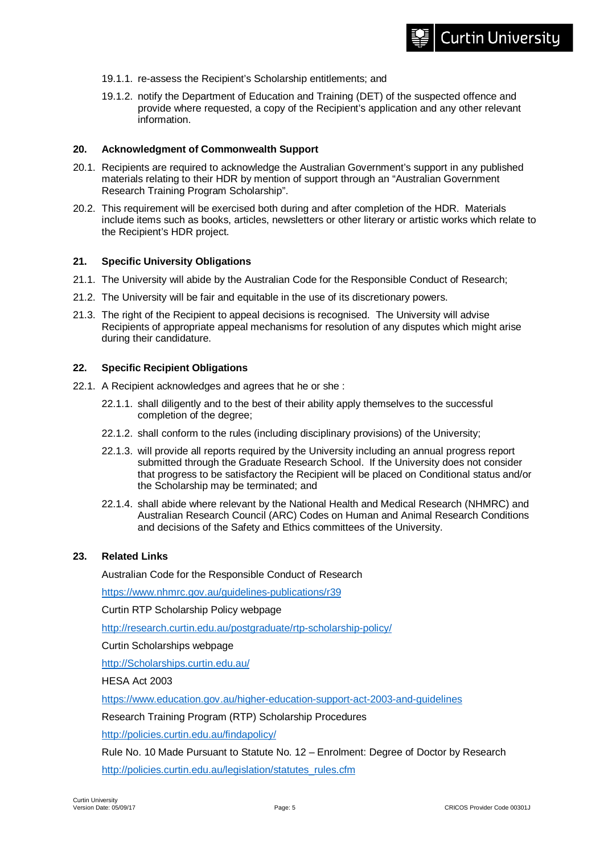- 19.1.1. re-assess the Recipient's Scholarship entitlements; and
- 19.1.2. notify the Department of Education and Training (DET) of the suspected offence and provide where requested, a copy of the Recipient's application and any other relevant information.

#### **20. Acknowledgment of Commonwealth Support**

- 20.1. Recipients are required to acknowledge the Australian Government's support in any published materials relating to their HDR by mention of support through an "Australian Government Research Training Program Scholarship".
- 20.2. This requirement will be exercised both during and after completion of the HDR. Materials include items such as books, articles, newsletters or other literary or artistic works which relate to the Recipient's HDR project.

# **21. Specific University Obligations**

- 21.1. The University will abide by the Australian Code for the Responsible Conduct of Research;
- 21.2. The University will be fair and equitable in the use of its discretionary powers.
- 21.3. The right of the Recipient to appeal decisions is recognised. The University will advise Recipients of appropriate appeal mechanisms for resolution of any disputes which might arise during their candidature.

#### **22. Specific Recipient Obligations**

- 22.1. A Recipient acknowledges and agrees that he or she :
	- 22.1.1. shall diligently and to the best of their ability apply themselves to the successful completion of the degree;
	- 22.1.2. shall conform to the rules (including disciplinary provisions) of the University;
	- 22.1.3. will provide all reports required by the University including an annual progress report submitted through the Graduate Research School. If the University does not consider that progress to be satisfactory the Recipient will be placed on Conditional status and/or the Scholarship may be terminated; and
	- 22.1.4. shall abide where relevant by the National Health and Medical Research (NHMRC) and Australian Research Council (ARC) Codes on Human and Animal Research Conditions and decisions of the Safety and Ethics committees of the University.

#### **23. Related Links**

Australian Code for the Responsible Conduct of Research

<https://www.nhmrc.gov.au/guidelines-publications/r39>

Curtin RTP Scholarship Policy webpage

<http://research.curtin.edu.au/postgraduate/rtp-scholarship-policy/>

Curtin Scholarships webpage

[http://Scholarships.curtin.edu.au/](http://scholarships.curtin.edu.au/)

HESA Act 2003

<https://www.education.gov.au/higher-education-support-act-2003-and-guidelines>

Research Training Program (RTP) Scholarship Procedures

<http://policies.curtin.edu.au/findapolicy/>

Rule No. 10 Made Pursuant to Statute No. 12 – Enrolment: Degree of Doctor by Research [http://policies.curtin.edu.au/legislation/statutes\\_rules.cfm](http://policies.curtin.edu.au/legislation/statutes_rules.cfm)